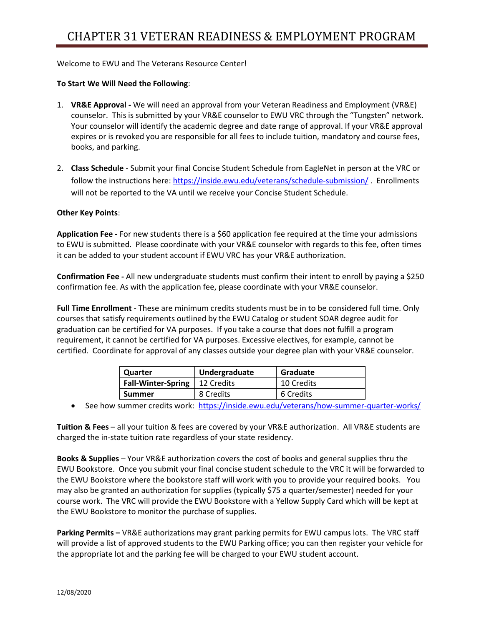Welcome to EWU and The Veterans Resource Center!

## **To Start We Will Need the Following**:

- 1. **VR&E Approval -** We will need an approval from your Veteran Readiness and Employment (VR&E) counselor. This is submitted by your VR&E counselor to EWU VRC through the "Tungsten" network. Your counselor will identify the academic degree and date range of approval. If your VR&E approval expires or is revoked you are responsible for all fees to include tuition, mandatory and course fees, books, and parking.
- 2. **Class Schedule** Submit your final Concise Student Schedule from EagleNet in person at the VRC or follow the instructions here:<https://inside.ewu.edu/veterans/schedule-submission/>. Enrollments will not be reported to the VA until we receive your Concise Student Schedule.

## **Other Key Points**:

**Application Fee -** For new students there is a \$60 application fee required at the time your admissions to EWU is submitted. Please coordinate with your VR&E counselor with regards to this fee, often times it can be added to your student account if EWU VRC has your VR&E authorization.

**Confirmation Fee -** All new undergraduate students must confirm their intent to enroll by paying a \$250 confirmation fee. As with the application fee, please coordinate with your VR&E counselor.

**Full Time Enrollment** - These are minimum credits students must be in to be considered full time. Only courses that satisfy requirements outlined by the EWU Catalog or student SOAR degree audit for graduation can be certified for VA purposes. If you take a course that does not fulfill a program requirement, it cannot be certified for VA purposes. Excessive electives, for example, cannot be certified. Coordinate for approval of any classes outside your degree plan with your VR&E counselor.

| Quarter                   | Undergraduate | Graduate   |
|---------------------------|---------------|------------|
| <b>Fall-Winter-Spring</b> | 12 Credits    | 10 Credits |
| <b>Summer</b>             | 8 Credits     | 6 Credits  |

• See how summer credits work: <https://inside.ewu.edu/veterans/how-summer-quarter-works/>

**Tuition & Fees** – all your tuition & fees are covered by your VR&E authorization. All VR&E students are charged the in-state tuition rate regardless of your state residency.

**Books & Supplies** – Your VR&E authorization covers the cost of books and general supplies thru the EWU Bookstore. Once you submit your final concise student schedule to the VRC it will be forwarded to the EWU Bookstore where the bookstore staff will work with you to provide your required books. You may also be granted an authorization for supplies (typically \$75 a quarter/semester) needed for your course work. The VRC will provide the EWU Bookstore with a Yellow Supply Card which will be kept at the EWU Bookstore to monitor the purchase of supplies.

**Parking Permits –** VR&E authorizations may grant parking permits for EWU campus lots. The VRC staff will provide a list of approved students to the EWU Parking office; you can then register your vehicle for the appropriate lot and the parking fee will be charged to your EWU student account.